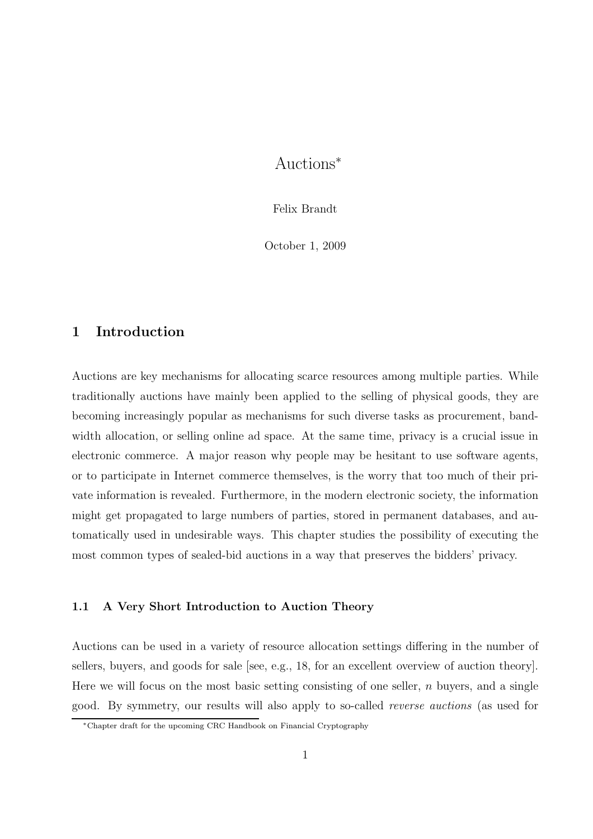# Auctions<sup>∗</sup>

Felix Brandt

October 1, 2009

## 1 Introduction

Auctions are key mechanisms for allocating scarce resources among multiple parties. While traditionally auctions have mainly been applied to the selling of physical goods, they are becoming increasingly popular as mechanisms for such diverse tasks as procurement, bandwidth allocation, or selling online ad space. At the same time, privacy is a crucial issue in electronic commerce. A major reason why people may be hesitant to use software agents, or to participate in Internet commerce themselves, is the worry that too much of their private information is revealed. Furthermore, in the modern electronic society, the information might get propagated to large numbers of parties, stored in permanent databases, and automatically used in undesirable ways. This chapter studies the possibility of executing the most common types of sealed-bid auctions in a way that preserves the bidders' privacy.

### 1.1 A Very Short Introduction to Auction Theory

Auctions can be used in a variety of resource allocation settings differing in the number of sellers, buyers, and goods for sale [see, e.g., 18, for an excellent overview of auction theory]. Here we will focus on the most basic setting consisting of one seller,  $n$  buyers, and a single good. By symmetry, our results will also apply to so-called reverse auctions (as used for

<sup>∗</sup>Chapter draft for the upcoming CRC Handbook on Financial Cryptography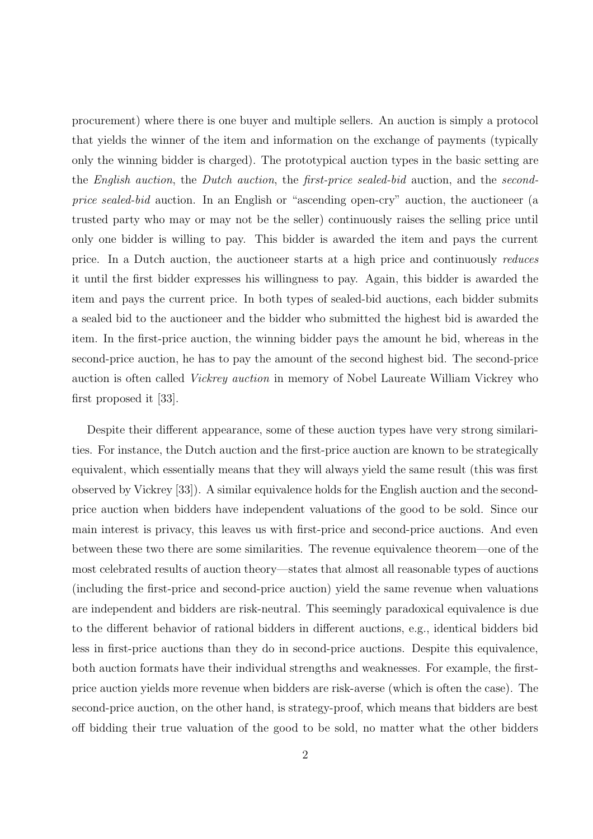procurement) where there is one buyer and multiple sellers. An auction is simply a protocol that yields the winner of the item and information on the exchange of payments (typically only the winning bidder is charged). The prototypical auction types in the basic setting are the English auction, the Dutch auction, the first-price sealed-bid auction, and the secondprice sealed-bid auction. In an English or "ascending open-cry" auction, the auctioneer (a trusted party who may or may not be the seller) continuously raises the selling price until only one bidder is willing to pay. This bidder is awarded the item and pays the current price. In a Dutch auction, the auctioneer starts at a high price and continuously reduces it until the first bidder expresses his willingness to pay. Again, this bidder is awarded the item and pays the current price. In both types of sealed-bid auctions, each bidder submits a sealed bid to the auctioneer and the bidder who submitted the highest bid is awarded the item. In the first-price auction, the winning bidder pays the amount he bid, whereas in the second-price auction, he has to pay the amount of the second highest bid. The second-price auction is often called Vickrey auction in memory of Nobel Laureate William Vickrey who first proposed it [33].

Despite their different appearance, some of these auction types have very strong similarities. For instance, the Dutch auction and the first-price auction are known to be strategically equivalent, which essentially means that they will always yield the same result (this was first observed by Vickrey [33]). A similar equivalence holds for the English auction and the secondprice auction when bidders have independent valuations of the good to be sold. Since our main interest is privacy, this leaves us with first-price and second-price auctions. And even between these two there are some similarities. The revenue equivalence theorem—one of the most celebrated results of auction theory—states that almost all reasonable types of auctions (including the first-price and second-price auction) yield the same revenue when valuations are independent and bidders are risk-neutral. This seemingly paradoxical equivalence is due to the different behavior of rational bidders in different auctions, e.g., identical bidders bid less in first-price auctions than they do in second-price auctions. Despite this equivalence, both auction formats have their individual strengths and weaknesses. For example, the firstprice auction yields more revenue when bidders are risk-averse (which is often the case). The second-price auction, on the other hand, is strategy-proof, which means that bidders are best off bidding their true valuation of the good to be sold, no matter what the other bidders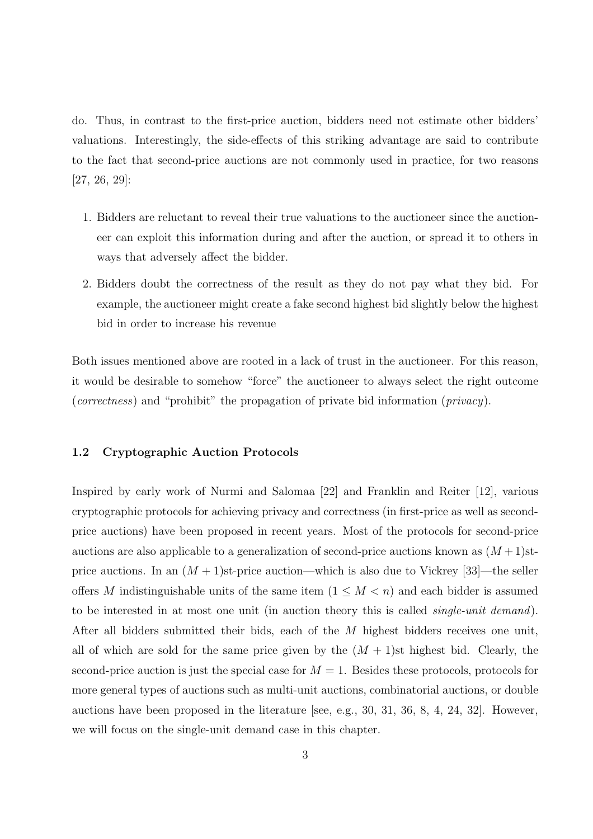do. Thus, in contrast to the first-price auction, bidders need not estimate other bidders' valuations. Interestingly, the side-effects of this striking advantage are said to contribute to the fact that second-price auctions are not commonly used in practice, for two reasons [27, 26, 29]:

- 1. Bidders are reluctant to reveal their true valuations to the auctioneer since the auctioneer can exploit this information during and after the auction, or spread it to others in ways that adversely affect the bidder.
- 2. Bidders doubt the correctness of the result as they do not pay what they bid. For example, the auctioneer might create a fake second highest bid slightly below the highest bid in order to increase his revenue

Both issues mentioned above are rooted in a lack of trust in the auctioneer. For this reason, it would be desirable to somehow "force" the auctioneer to always select the right outcome (correctness) and "prohibit" the propagation of private bid information (privacy).

#### 1.2 Cryptographic Auction Protocols

Inspired by early work of Nurmi and Salomaa [22] and Franklin and Reiter [12], various cryptographic protocols for achieving privacy and correctness (in first-price as well as secondprice auctions) have been proposed in recent years. Most of the protocols for second-price auctions are also applicable to a generalization of second-price auctions known as  $(M+1)$ stprice auctions. In an  $(M + 1)$ st-price auction—which is also due to Vickrey [33]—the seller offers M indistinguishable units of the same item  $(1 \leq M < n)$  and each bidder is assumed to be interested in at most one unit (in auction theory this is called single-unit demand). After all bidders submitted their bids, each of the M highest bidders receives one unit, all of which are sold for the same price given by the  $(M + 1)$ st highest bid. Clearly, the second-price auction is just the special case for  $M = 1$ . Besides these protocols, protocols for more general types of auctions such as multi-unit auctions, combinatorial auctions, or double auctions have been proposed in the literature [see, e.g., 30, 31, 36, 8, 4, 24, 32]. However, we will focus on the single-unit demand case in this chapter.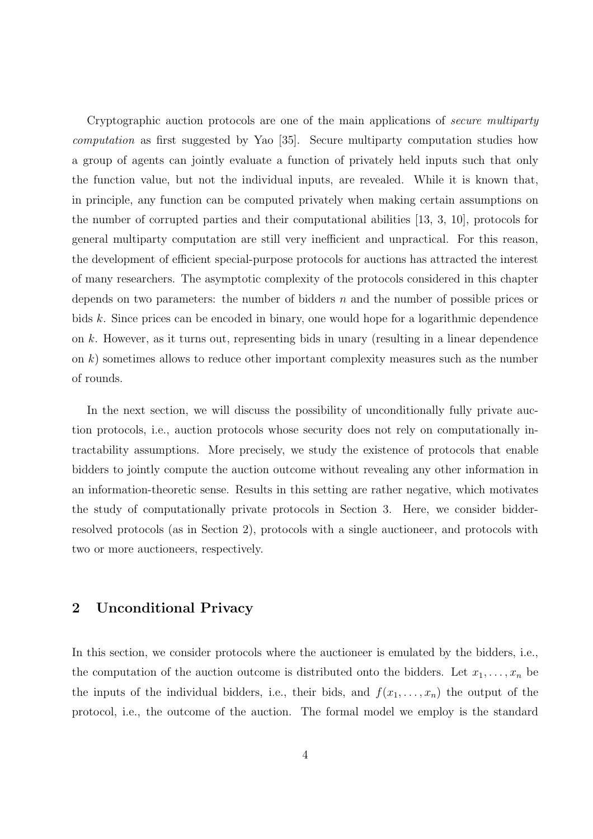Cryptographic auction protocols are one of the main applications of secure multiparty computation as first suggested by Yao [35]. Secure multiparty computation studies how a group of agents can jointly evaluate a function of privately held inputs such that only the function value, but not the individual inputs, are revealed. While it is known that, in principle, any function can be computed privately when making certain assumptions on the number of corrupted parties and their computational abilities [13, 3, 10], protocols for general multiparty computation are still very inefficient and unpractical. For this reason, the development of efficient special-purpose protocols for auctions has attracted the interest of many researchers. The asymptotic complexity of the protocols considered in this chapter depends on two parameters: the number of bidders  $n$  and the number of possible prices or bids k. Since prices can be encoded in binary, one would hope for a logarithmic dependence on k. However, as it turns out, representing bids in unary (resulting in a linear dependence on  $k$ ) sometimes allows to reduce other important complexity measures such as the number of rounds.

In the next section, we will discuss the possibility of unconditionally fully private auction protocols, i.e., auction protocols whose security does not rely on computationally intractability assumptions. More precisely, we study the existence of protocols that enable bidders to jointly compute the auction outcome without revealing any other information in an information-theoretic sense. Results in this setting are rather negative, which motivates the study of computationally private protocols in Section 3. Here, we consider bidderresolved protocols (as in Section 2), protocols with a single auctioneer, and protocols with two or more auctioneers, respectively.

## 2 Unconditional Privacy

In this section, we consider protocols where the auctioneer is emulated by the bidders, i.e., the computation of the auction outcome is distributed onto the bidders. Let  $x_1, \ldots, x_n$  be the inputs of the individual bidders, i.e., their bids, and  $f(x_1, \ldots, x_n)$  the output of the protocol, i.e., the outcome of the auction. The formal model we employ is the standard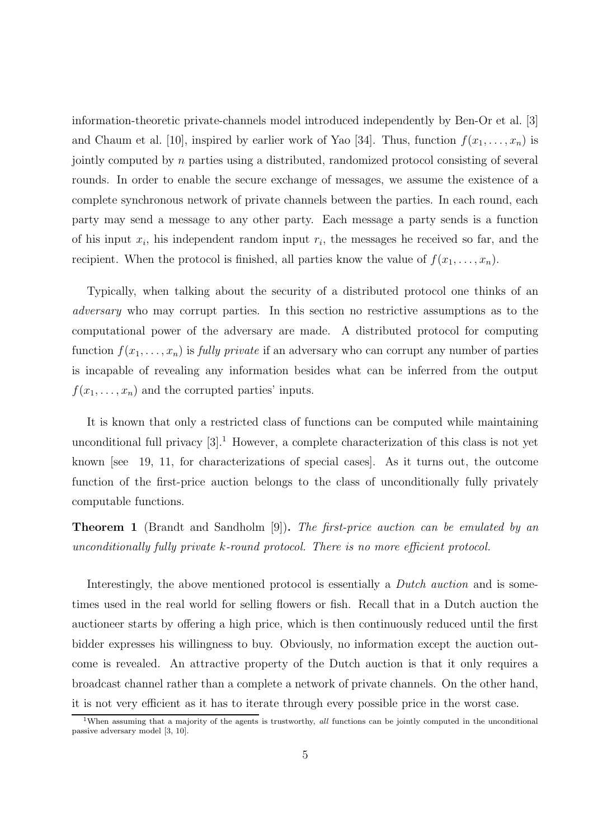information-theoretic private-channels model introduced independently by Ben-Or et al. [3] and Chaum et al. [10], inspired by earlier work of Yao [34]. Thus, function  $f(x_1, \ldots, x_n)$  is jointly computed by n parties using a distributed, randomized protocol consisting of several rounds. In order to enable the secure exchange of messages, we assume the existence of a complete synchronous network of private channels between the parties. In each round, each party may send a message to any other party. Each message a party sends is a function of his input  $x_i$ , his independent random input  $r_i$ , the messages he received so far, and the recipient. When the protocol is finished, all parties know the value of  $f(x_1, \ldots, x_n)$ .

Typically, when talking about the security of a distributed protocol one thinks of an adversary who may corrupt parties. In this section no restrictive assumptions as to the computational power of the adversary are made. A distributed protocol for computing function  $f(x_1, \ldots, x_n)$  is fully private if an adversary who can corrupt any number of parties is incapable of revealing any information besides what can be inferred from the output  $f(x_1, \ldots, x_n)$  and the corrupted parties' inputs.

It is known that only a restricted class of functions can be computed while maintaining unconditional full privacy  $[3]$ <sup>1</sup>. However, a complete characterization of this class is not yet known [see 19, 11, for characterizations of special cases]. As it turns out, the outcome function of the first-price auction belongs to the class of unconditionally fully privately computable functions.

**Theorem 1** (Brandt and Sandholm [9]). The first-price auction can be emulated by an unconditionally fully private k-round protocol. There is no more efficient protocol.

Interestingly, the above mentioned protocol is essentially a *Dutch auction* and is sometimes used in the real world for selling flowers or fish. Recall that in a Dutch auction the auctioneer starts by offering a high price, which is then continuously reduced until the first bidder expresses his willingness to buy. Obviously, no information except the auction outcome is revealed. An attractive property of the Dutch auction is that it only requires a broadcast channel rather than a complete a network of private channels. On the other hand, it is not very efficient as it has to iterate through every possible price in the worst case.

<sup>&</sup>lt;sup>1</sup>When assuming that a majority of the agents is trustworthy, all functions can be jointly computed in the unconditional passive adversary model [3, 10].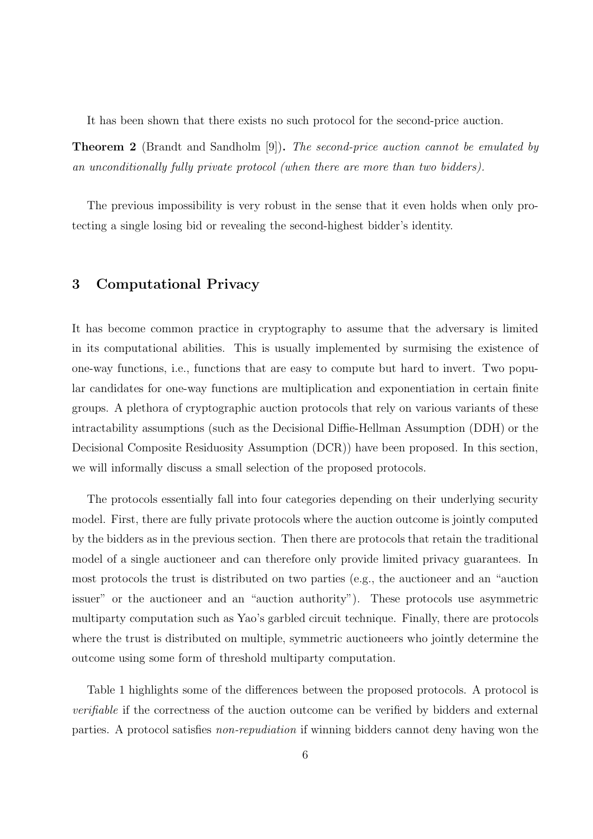It has been shown that there exists no such protocol for the second-price auction.

**Theorem 2** (Brandt and Sandholm [9]). The second-price auction cannot be emulated by an unconditionally fully private protocol (when there are more than two bidders).

The previous impossibility is very robust in the sense that it even holds when only protecting a single losing bid or revealing the second-highest bidder's identity.

## 3 Computational Privacy

It has become common practice in cryptography to assume that the adversary is limited in its computational abilities. This is usually implemented by surmising the existence of one-way functions, i.e., functions that are easy to compute but hard to invert. Two popular candidates for one-way functions are multiplication and exponentiation in certain finite groups. A plethora of cryptographic auction protocols that rely on various variants of these intractability assumptions (such as the Decisional Diffie-Hellman Assumption (DDH) or the Decisional Composite Residuosity Assumption (DCR)) have been proposed. In this section, we will informally discuss a small selection of the proposed protocols.

The protocols essentially fall into four categories depending on their underlying security model. First, there are fully private protocols where the auction outcome is jointly computed by the bidders as in the previous section. Then there are protocols that retain the traditional model of a single auctioneer and can therefore only provide limited privacy guarantees. In most protocols the trust is distributed on two parties (e.g., the auctioneer and an "auction issuer" or the auctioneer and an "auction authority"). These protocols use asymmetric multiparty computation such as Yao's garbled circuit technique. Finally, there are protocols where the trust is distributed on multiple, symmetric auctioneers who jointly determine the outcome using some form of threshold multiparty computation.

Table 1 highlights some of the differences between the proposed protocols. A protocol is verifiable if the correctness of the auction outcome can be verified by bidders and external parties. A protocol satisfies non-repudiation if winning bidders cannot deny having won the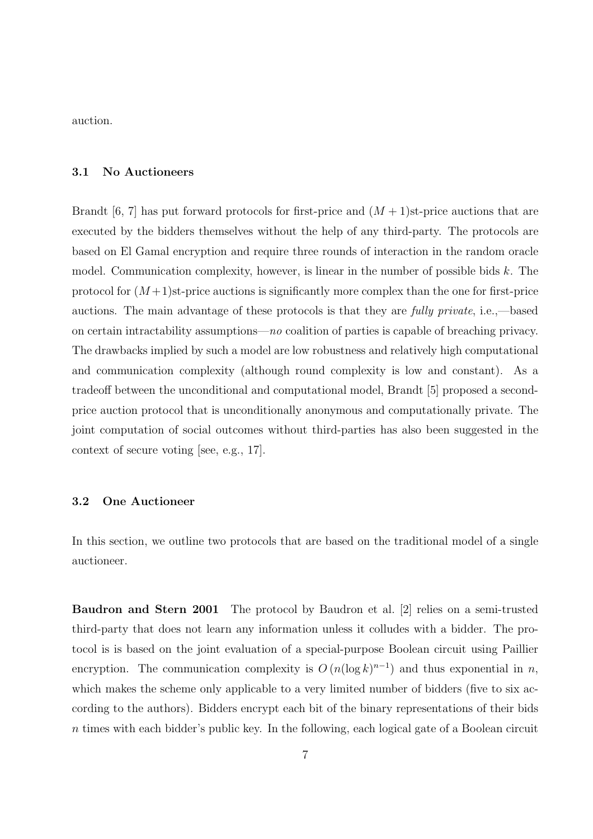auction.

## 3.1 No Auctioneers

Brandt [6, 7] has put forward protocols for first-price and  $(M + 1)$ st-price auctions that are executed by the bidders themselves without the help of any third-party. The protocols are based on El Gamal encryption and require three rounds of interaction in the random oracle model. Communication complexity, however, is linear in the number of possible bids k. The protocol for  $(M+1)$ st-price auctions is significantly more complex than the one for first-price auctions. The main advantage of these protocols is that they are fully private, i.e.,—based on certain intractability assumptions— $no$  coalition of parties is capable of breaching privacy. The drawbacks implied by such a model are low robustness and relatively high computational and communication complexity (although round complexity is low and constant). As a tradeoff between the unconditional and computational model, Brandt [5] proposed a secondprice auction protocol that is unconditionally anonymous and computationally private. The joint computation of social outcomes without third-parties has also been suggested in the context of secure voting [see, e.g., 17].

### 3.2 One Auctioneer

In this section, we outline two protocols that are based on the traditional model of a single auctioneer.

Baudron and Stern 2001 The protocol by Baudron et al. [2] relies on a semi-trusted third-party that does not learn any information unless it colludes with a bidder. The protocol is is based on the joint evaluation of a special-purpose Boolean circuit using Paillier encryption. The communication complexity is  $O(n(\log k)^{n-1})$  and thus exponential in n, which makes the scheme only applicable to a very limited number of bidders (five to six according to the authors). Bidders encrypt each bit of the binary representations of their bids n times with each bidder's public key. In the following, each logical gate of a Boolean circuit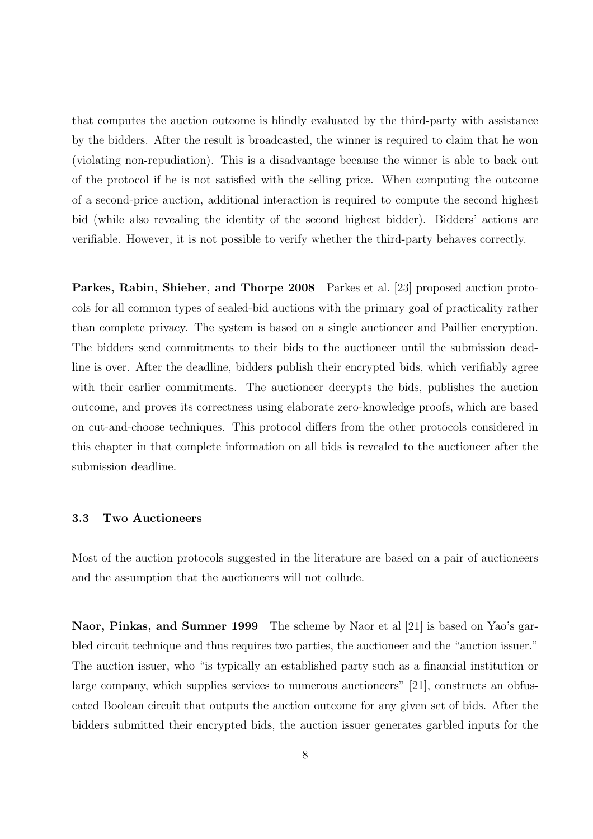that computes the auction outcome is blindly evaluated by the third-party with assistance by the bidders. After the result is broadcasted, the winner is required to claim that he won (violating non-repudiation). This is a disadvantage because the winner is able to back out of the protocol if he is not satisfied with the selling price. When computing the outcome of a second-price auction, additional interaction is required to compute the second highest bid (while also revealing the identity of the second highest bidder). Bidders' actions are verifiable. However, it is not possible to verify whether the third-party behaves correctly.

Parkes, Rabin, Shieber, and Thorpe 2008 Parkes et al. [23] proposed auction protocols for all common types of sealed-bid auctions with the primary goal of practicality rather than complete privacy. The system is based on a single auctioneer and Paillier encryption. The bidders send commitments to their bids to the auctioneer until the submission deadline is over. After the deadline, bidders publish their encrypted bids, which verifiably agree with their earlier commitments. The auctioneer decrypts the bids, publishes the auction outcome, and proves its correctness using elaborate zero-knowledge proofs, which are based on cut-and-choose techniques. This protocol differs from the other protocols considered in this chapter in that complete information on all bids is revealed to the auctioneer after the submission deadline.

### 3.3 Two Auctioneers

Most of the auction protocols suggested in the literature are based on a pair of auctioneers and the assumption that the auctioneers will not collude.

Naor, Pinkas, and Sumner 1999 The scheme by Naor et al [21] is based on Yao's garbled circuit technique and thus requires two parties, the auctioneer and the "auction issuer." The auction issuer, who "is typically an established party such as a financial institution or large company, which supplies services to numerous auctioneers" [21], constructs an obfuscated Boolean circuit that outputs the auction outcome for any given set of bids. After the bidders submitted their encrypted bids, the auction issuer generates garbled inputs for the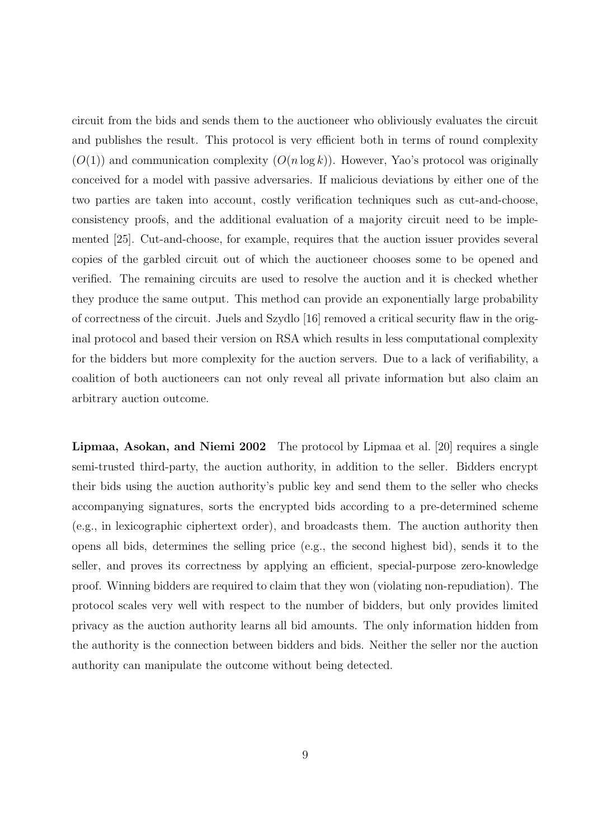circuit from the bids and sends them to the auctioneer who obliviously evaluates the circuit and publishes the result. This protocol is very efficient both in terms of round complexity  $(O(1))$  and communication complexity  $(O(n \log k))$ . However, Yao's protocol was originally conceived for a model with passive adversaries. If malicious deviations by either one of the two parties are taken into account, costly verification techniques such as cut-and-choose, consistency proofs, and the additional evaluation of a majority circuit need to be implemented [25]. Cut-and-choose, for example, requires that the auction issuer provides several copies of the garbled circuit out of which the auctioneer chooses some to be opened and verified. The remaining circuits are used to resolve the auction and it is checked whether they produce the same output. This method can provide an exponentially large probability of correctness of the circuit. Juels and Szydlo [16] removed a critical security flaw in the original protocol and based their version on RSA which results in less computational complexity for the bidders but more complexity for the auction servers. Due to a lack of verifiability, a coalition of both auctioneers can not only reveal all private information but also claim an arbitrary auction outcome.

Lipmaa, Asokan, and Niemi 2002 The protocol by Lipmaa et al. [20] requires a single semi-trusted third-party, the auction authority, in addition to the seller. Bidders encrypt their bids using the auction authority's public key and send them to the seller who checks accompanying signatures, sorts the encrypted bids according to a pre-determined scheme (e.g., in lexicographic ciphertext order), and broadcasts them. The auction authority then opens all bids, determines the selling price (e.g., the second highest bid), sends it to the seller, and proves its correctness by applying an efficient, special-purpose zero-knowledge proof. Winning bidders are required to claim that they won (violating non-repudiation). The protocol scales very well with respect to the number of bidders, but only provides limited privacy as the auction authority learns all bid amounts. The only information hidden from the authority is the connection between bidders and bids. Neither the seller nor the auction authority can manipulate the outcome without being detected.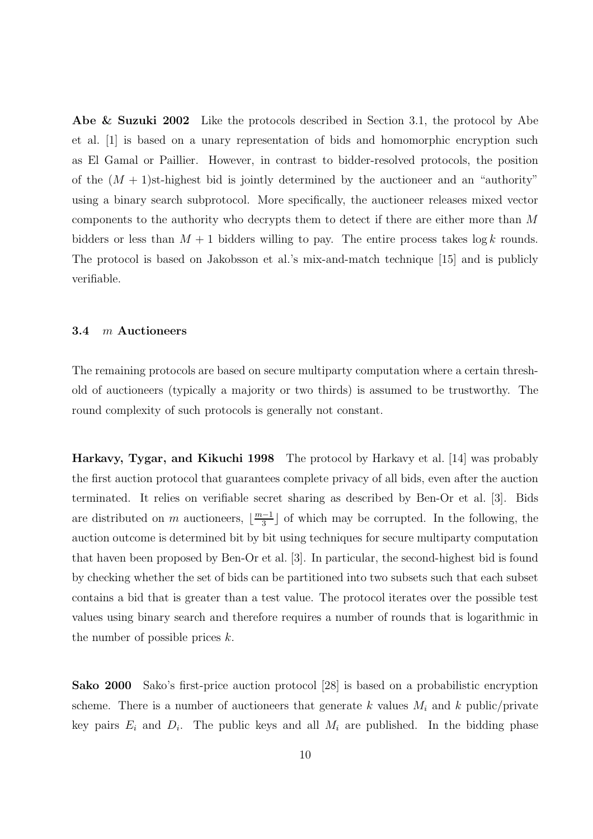Abe & Suzuki 2002 Like the protocols described in Section 3.1, the protocol by Abe et al. [1] is based on a unary representation of bids and homomorphic encryption such as El Gamal or Paillier. However, in contrast to bidder-resolved protocols, the position of the  $(M + 1)$ st-highest bid is jointly determined by the auctioneer and an "authority" using a binary search subprotocol. More specifically, the auctioneer releases mixed vector components to the authority who decrypts them to detect if there are either more than M bidders or less than  $M + 1$  bidders willing to pay. The entire process takes  $\log k$  rounds. The protocol is based on Jakobsson et al.'s mix-and-match technique [15] and is publicly verifiable.

#### 3.4 m Auctioneers

The remaining protocols are based on secure multiparty computation where a certain threshold of auctioneers (typically a majority or two thirds) is assumed to be trustworthy. The round complexity of such protocols is generally not constant.

Harkavy, Tygar, and Kikuchi 1998 The protocol by Harkavy et al. [14] was probably the first auction protocol that guarantees complete privacy of all bids, even after the auction terminated. It relies on verifiable secret sharing as described by Ben-Or et al. [3]. Bids are distributed on m auctioneers,  $\lfloor \frac{m-1}{3} \rfloor$  $\frac{(-1)}{3}$  of which may be corrupted. In the following, the auction outcome is determined bit by bit using techniques for secure multiparty computation that haven been proposed by Ben-Or et al. [3]. In particular, the second-highest bid is found by checking whether the set of bids can be partitioned into two subsets such that each subset contains a bid that is greater than a test value. The protocol iterates over the possible test values using binary search and therefore requires a number of rounds that is logarithmic in the number of possible prices  $k$ .

Sako 2000 Sako's first-price auction protocol [28] is based on a probabilistic encryption scheme. There is a number of auctioneers that generate k values  $M_i$  and k public/private key pairs  $E_i$  and  $D_i$ . The public keys and all  $M_i$  are published. In the bidding phase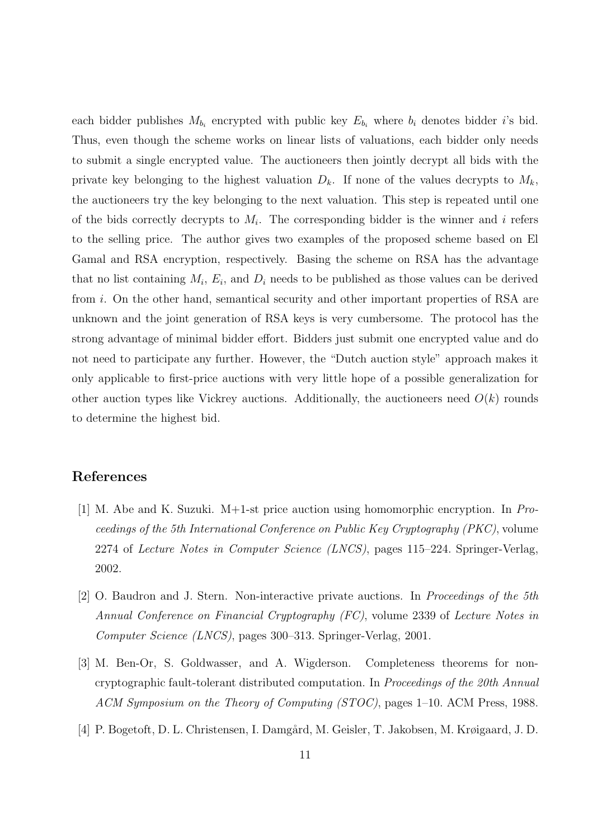each bidder publishes  $M_{b_i}$  encrypted with public key  $E_{b_i}$  where  $b_i$  denotes bidder i's bid. Thus, even though the scheme works on linear lists of valuations, each bidder only needs to submit a single encrypted value. The auctioneers then jointly decrypt all bids with the private key belonging to the highest valuation  $D_k$ . If none of the values decrypts to  $M_k$ , the auctioneers try the key belonging to the next valuation. This step is repeated until one of the bids correctly decrypts to  $M_i$ . The corresponding bidder is the winner and i refers to the selling price. The author gives two examples of the proposed scheme based on El Gamal and RSA encryption, respectively. Basing the scheme on RSA has the advantage that no list containing  $M_i$ ,  $E_i$ , and  $D_i$  needs to be published as those values can be derived from *i*. On the other hand, semantical security and other important properties of RSA are unknown and the joint generation of RSA keys is very cumbersome. The protocol has the strong advantage of minimal bidder effort. Bidders just submit one encrypted value and do not need to participate any further. However, the "Dutch auction style" approach makes it only applicable to first-price auctions with very little hope of a possible generalization for other auction types like Vickrey auctions. Additionally, the auctioneers need  $O(k)$  rounds to determine the highest bid.

## References

- [1] M. Abe and K. Suzuki. M+1-st price auction using homomorphic encryption. In Proceedings of the 5th International Conference on Public Key Cryptography (PKC), volume 2274 of Lecture Notes in Computer Science (LNCS), pages 115–224. Springer-Verlag, 2002.
- [2] O. Baudron and J. Stern. Non-interactive private auctions. In Proceedings of the 5th Annual Conference on Financial Cryptography (FC), volume 2339 of Lecture Notes in Computer Science (LNCS), pages 300–313. Springer-Verlag, 2001.
- [3] M. Ben-Or, S. Goldwasser, and A. Wigderson. Completeness theorems for noncryptographic fault-tolerant distributed computation. In Proceedings of the 20th Annual ACM Symposium on the Theory of Computing (STOC), pages 1–10. ACM Press, 1988.
- [4] P. Bogetoft, D. L. Christensen, I. Damgård, M. Geisler, T. Jakobsen, M. Krøigaard, J. D.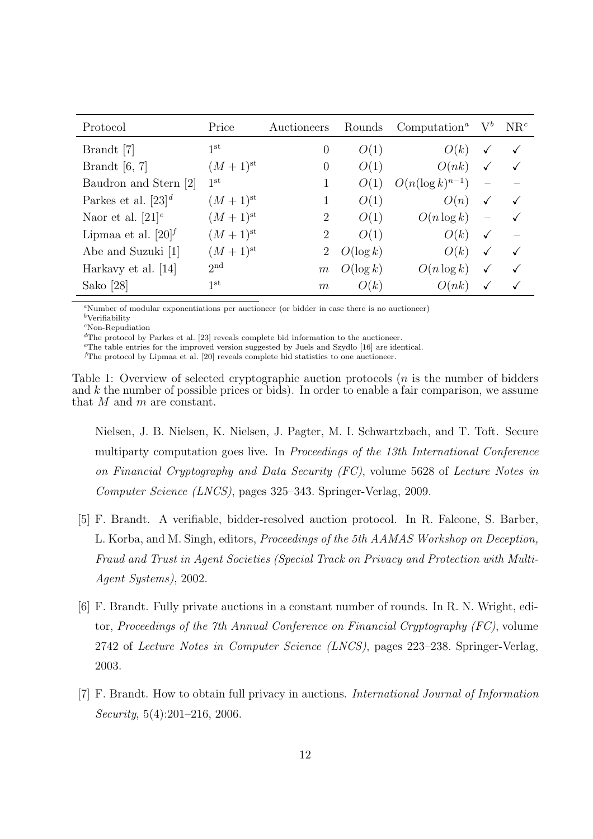| Protocol                          | Price           | Auctioneers | Rounds      | Computation <sup><i>a</i></sup> $V^b$ |              | NR <sup>c</sup> |
|-----------------------------------|-----------------|-------------|-------------|---------------------------------------|--------------|-----------------|
| Brandt [7]                        | 1 <sup>st</sup> | $\Omega$    | O(1)        | O(k)                                  |              | $\checkmark$    |
| Brandt $[6, 7]$                   | $(M+1)^{st}$    | $\Omega$    | O(1)        | O(nk)                                 |              |                 |
| Baudron and Stern [2]             | $1^{\rm st}$    |             | O(1)        | $O(n(\log k)^{n-1})$                  |              |                 |
| Parkes et al. $[23]$ <sup>d</sup> | $(M+1)^{st}$    |             | O(1)        | O(n)                                  | $\checkmark$ |                 |
| Naor et al. $[21]$ <sup>e</sup>   | $(M+1)^{st}$    | 2           | O(1)        | $O(n \log k)$                         |              |                 |
| Lipmaa et al. $[20]^f$            | $(M+1)^{st}$    | 2           | O(1)        | O(k)                                  | $\checkmark$ |                 |
| Abe and Suzuki [1]                | $(M+1)^{st}$    |             | $O(\log k)$ | O(k)                                  | $\checkmark$ |                 |
| Harkavy et al. [14]               | 2 <sub>nd</sub> | m           | $O(\log k)$ | $O(n \log k)$                         | $\checkmark$ |                 |
| Sako $[28]$                       | 1 <sup>st</sup> | m           | O(k)        | O(nk)                                 |              |                 |

<sup>a</sup>Number of modular exponentiations per auctioneer (or bidder in case there is no auctioneer)

 $<sup>b</sup>$ Verifiability</sup> <sup>c</sup>Non-Repudiation

 ${}^{d}$ The protocol by Parkes et al. [23] reveals complete bid information to the auctioneer.

 ${}^e$ The table entries for the improved version suggested by Juels and Szydlo [16] are identical.

 ${}^f$ The protocol by Lipmaa et al. [20] reveals complete bid statistics to one auctioneer.

Table 1: Overview of selected cryptographic auction protocols  $(n$  is the number of bidders and  $k$  the number of possible prices or bids). In order to enable a fair comparison, we assume that M and m are constant.

Nielsen, J. B. Nielsen, K. Nielsen, J. Pagter, M. I. Schwartzbach, and T. Toft. Secure multiparty computation goes live. In Proceedings of the 13th International Conference on Financial Cryptography and Data Security (FC), volume 5628 of Lecture Notes in Computer Science (LNCS), pages 325–343. Springer-Verlag, 2009.

- [5] F. Brandt. A verifiable, bidder-resolved auction protocol. In R. Falcone, S. Barber, L. Korba, and M. Singh, editors, Proceedings of the 5th AAMAS Workshop on Deception, Fraud and Trust in Agent Societies (Special Track on Privacy and Protection with Multi-Agent Systems), 2002.
- [6] F. Brandt. Fully private auctions in a constant number of rounds. In R. N. Wright, editor, Proceedings of the 7th Annual Conference on Financial Cryptography (FC), volume 2742 of Lecture Notes in Computer Science (LNCS), pages 223–238. Springer-Verlag, 2003.
- [7] F. Brandt. How to obtain full privacy in auctions. International Journal of Information Security, 5(4):201–216, 2006.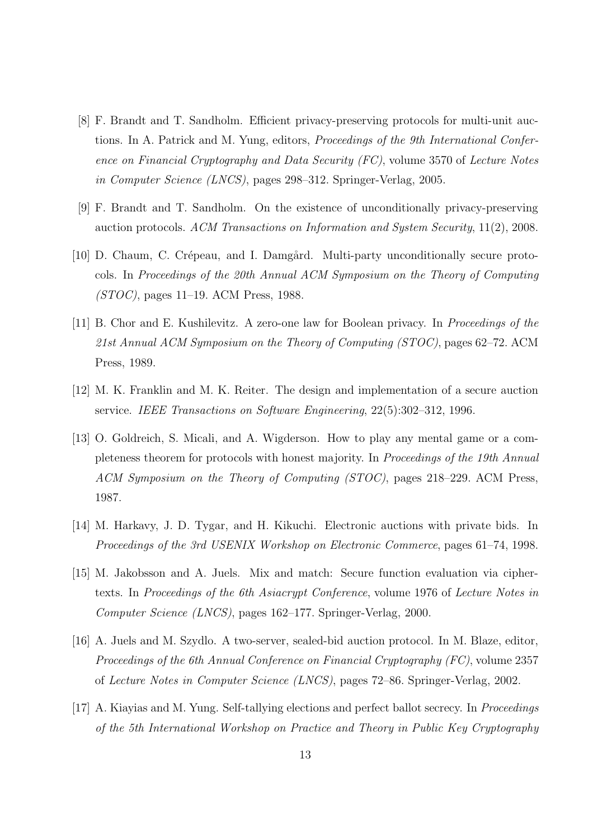- [8] F. Brandt and T. Sandholm. Efficient privacy-preserving protocols for multi-unit auctions. In A. Patrick and M. Yung, editors, Proceedings of the 9th International Conference on Financial Cryptography and Data Security (FC), volume 3570 of Lecture Notes in Computer Science (LNCS), pages 298–312. Springer-Verlag, 2005.
- [9] F. Brandt and T. Sandholm. On the existence of unconditionally privacy-preserving auction protocols. ACM Transactions on Information and System Security, 11(2), 2008.
- [10] D. Chaum, C. Crépeau, and I. Damgård. Multi-party unconditionally secure protocols. In Proceedings of the 20th Annual ACM Symposium on the Theory of Computing  $(TOC)$ , pages 11–19. ACM Press, 1988.
- [11] B. Chor and E. Kushilevitz. A zero-one law for Boolean privacy. In Proceedings of the 21st Annual ACM Symposium on the Theory of Computing (STOC), pages 62–72. ACM Press, 1989.
- [12] M. K. Franklin and M. K. Reiter. The design and implementation of a secure auction service. IEEE Transactions on Software Engineering, 22(5):302–312, 1996.
- [13] O. Goldreich, S. Micali, and A. Wigderson. How to play any mental game or a completeness theorem for protocols with honest majority. In Proceedings of the 19th Annual ACM Symposium on the Theory of Computing (STOC), pages 218–229. ACM Press, 1987.
- [14] M. Harkavy, J. D. Tygar, and H. Kikuchi. Electronic auctions with private bids. In Proceedings of the 3rd USENIX Workshop on Electronic Commerce, pages 61–74, 1998.
- [15] M. Jakobsson and A. Juels. Mix and match: Secure function evaluation via ciphertexts. In Proceedings of the 6th Asiacrypt Conference, volume 1976 of Lecture Notes in Computer Science (LNCS), pages 162–177. Springer-Verlag, 2000.
- [16] A. Juels and M. Szydlo. A two-server, sealed-bid auction protocol. In M. Blaze, editor, Proceedings of the 6th Annual Conference on Financial Cryptography (FC), volume 2357 of Lecture Notes in Computer Science (LNCS), pages 72–86. Springer-Verlag, 2002.
- [17] A. Kiayias and M. Yung. Self-tallying elections and perfect ballot secrecy. In Proceedings of the 5th International Workshop on Practice and Theory in Public Key Cryptography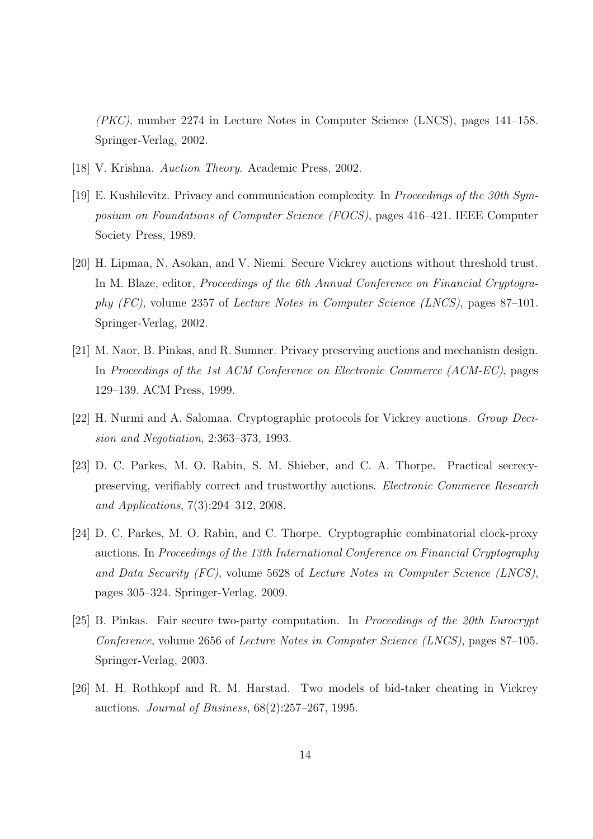(PKC), number 2274 in Lecture Notes in Computer Science (LNCS), pages 141–158. Springer-Verlag, 2002.

- [18] V. Krishna. Auction Theory. Academic Press, 2002.
- [19] E. Kushilevitz. Privacy and communication complexity. In Proceedings of the 30th Symposium on Foundations of Computer Science (FOCS), pages 416–421. IEEE Computer Society Press, 1989.
- [20] H. Lipmaa, N. Asokan, and V. Niemi. Secure Vickrey auctions without threshold trust. In M. Blaze, editor, *Proceedings of the 6th Annual Conference on Financial Cryptogra*phy (FC), volume 2357 of Lecture Notes in Computer Science (LNCS), pages 87–101. Springer-Verlag, 2002.
- [21] M. Naor, B. Pinkas, and R. Sumner. Privacy preserving auctions and mechanism design. In Proceedings of the 1st ACM Conference on Electronic Commerce (ACM-EC), pages 129–139. ACM Press, 1999.
- [22] H. Nurmi and A. Salomaa. Cryptographic protocols for Vickrey auctions. Group Decision and Negotiation, 2:363–373, 1993.
- [23] D. C. Parkes, M. O. Rabin, S. M. Shieber, and C. A. Thorpe. Practical secrecypreserving, verifiably correct and trustworthy auctions. Electronic Commerce Research and Applications, 7(3):294–312, 2008.
- [24] D. C. Parkes, M. O. Rabin, and C. Thorpe. Cryptographic combinatorial clock-proxy auctions. In Proceedings of the 13th International Conference on Financial Cryptography and Data Security (FC), volume 5628 of Lecture Notes in Computer Science (LNCS), pages 305–324. Springer-Verlag, 2009.
- [25] B. Pinkas. Fair secure two-party computation. In Proceedings of the 20th Eurocrypt Conference, volume 2656 of Lecture Notes in Computer Science (LNCS), pages 87–105. Springer-Verlag, 2003.
- [26] M. H. Rothkopf and R. M. Harstad. Two models of bid-taker cheating in Vickrey auctions. Journal of Business, 68(2):257–267, 1995.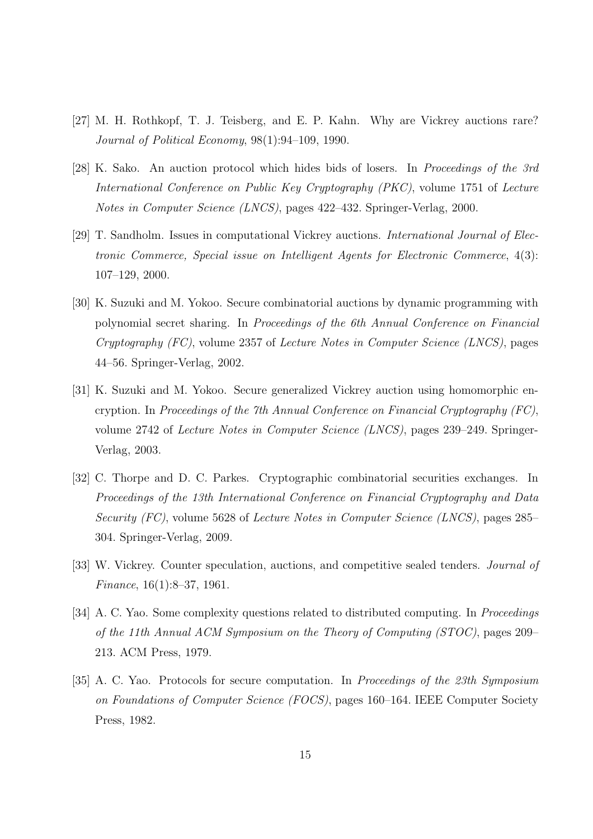- [27] M. H. Rothkopf, T. J. Teisberg, and E. P. Kahn. Why are Vickrey auctions rare? Journal of Political Economy, 98(1):94–109, 1990.
- [28] K. Sako. An auction protocol which hides bids of losers. In Proceedings of the 3rd International Conference on Public Key Cryptography (PKC), volume 1751 of Lecture Notes in Computer Science (LNCS), pages 422–432. Springer-Verlag, 2000.
- [29] T. Sandholm. Issues in computational Vickrey auctions. International Journal of Electronic Commerce, Special issue on Intelligent Agents for Electronic Commerce, 4(3): 107–129, 2000.
- [30] K. Suzuki and M. Yokoo. Secure combinatorial auctions by dynamic programming with polynomial secret sharing. In Proceedings of the 6th Annual Conference on Financial Cryptography (FC), volume 2357 of Lecture Notes in Computer Science (LNCS), pages 44–56. Springer-Verlag, 2002.
- [31] K. Suzuki and M. Yokoo. Secure generalized Vickrey auction using homomorphic encryption. In Proceedings of the 7th Annual Conference on Financial Cryptography (FC), volume 2742 of Lecture Notes in Computer Science (LNCS), pages 239–249. Springer-Verlag, 2003.
- [32] C. Thorpe and D. C. Parkes. Cryptographic combinatorial securities exchanges. In Proceedings of the 13th International Conference on Financial Cryptography and Data Security (FC), volume 5628 of Lecture Notes in Computer Science (LNCS), pages 285– 304. Springer-Verlag, 2009.
- [33] W. Vickrey. Counter speculation, auctions, and competitive sealed tenders. Journal of Finance, 16(1):8–37, 1961.
- [34] A. C. Yao. Some complexity questions related to distributed computing. In *Proceedings* of the 11th Annual ACM Symposium on the Theory of Computing (STOC), pages 209– 213. ACM Press, 1979.
- [35] A. C. Yao. Protocols for secure computation. In Proceedings of the 23th Symposium on Foundations of Computer Science (FOCS), pages 160–164. IEEE Computer Society Press, 1982.